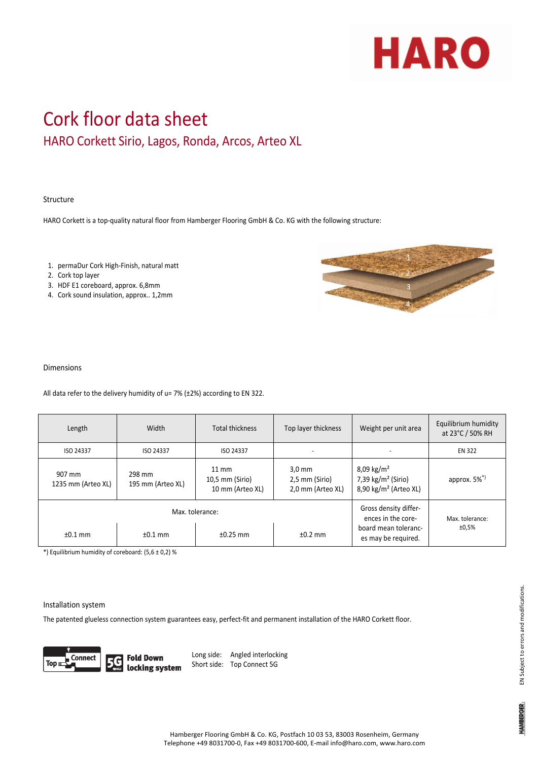

# Cork floor data sheet HARO Corkett Sirio, Lagos, Ronda, Arcos, Arteo XL

### Structure

HARO Corkett is a top‐quality natural floor from Hamberger Flooring GmbH & Co. KG with the following structure:

- 1. permaDur Cork High‐Finish, natural matt
- 2. Cork top layer
- 3. HDF E1 coreboard, approx. 6,8mm
- 4. Cork sound insulation, approx.. 1,2mm



#### Dimensions

All data refer to the delivery humidity of u= 7% (±2%) according to EN 322.

| Length                       | Width                       | <b>Total thickness</b>                                 | Top layer thickness                                     | Weight per unit area                                                                       | Equilibrium humidity<br>at 23°C / 50% RH |
|------------------------------|-----------------------------|--------------------------------------------------------|---------------------------------------------------------|--------------------------------------------------------------------------------------------|------------------------------------------|
| ISO 24337                    | ISO 24337                   | ISO 24337                                              |                                                         | $\overline{\phantom{a}}$                                                                   | <b>EN 322</b>                            |
| 907 mm<br>1235 mm (Arteo XL) | 298 mm<br>195 mm (Arteo XL) | $11 \text{ mm}$<br>10,5 mm (Sirio)<br>10 mm (Arteo XL) | $3.0 \text{ mm}$<br>2,5 mm (Sirio)<br>2,0 mm (Arteo XL) | $8,09 \text{ kg/m}^2$<br>7,39 $\text{kg/m}^2$ (Sirio)<br>8,90 kg/m <sup>2</sup> (Arteo XL) | approx. $5\%$ <sup>*)</sup>              |
|                              | Max. tolerance:             | Gross density differ-<br>ences in the core-            | Max. tolerance:                                         |                                                                                            |                                          |
| $±0.1$ mm                    | $±0.1$ mm                   | $±0.25$ mm                                             | $±0.2$ mm                                               | board mean toleranc-<br>es may be required.                                                | ±0,5%                                    |

\*) Equilibrium humidity of coreboard: (5,6 ± 0,2) %

#### Installation system

The patented glueless connection system guarantees easy, perfect-fit and permanent installation of the HARO Corkett floor.



**Fold Down** locking system Long side: Angled interlocking Short side: Top Connect 5G